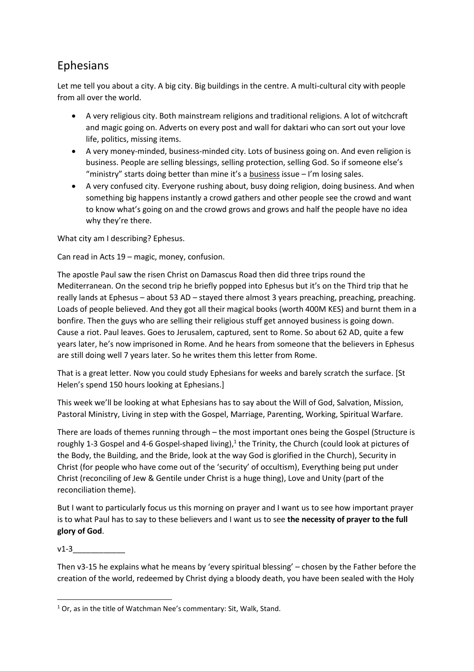## Ephesians

Let me tell you about a city. A big city. Big buildings in the centre. A multi-cultural city with people from all over the world.

- A very religious city. Both mainstream religions and traditional religions. A lot of witchcraft and magic going on. Adverts on every post and wall for daktari who can sort out your love life, politics, missing items.
- A very money-minded, business-minded city. Lots of business going on. And even religion is business. People are selling blessings, selling protection, selling God. So if someone else's "ministry" starts doing better than mine it's a business issue – I'm losing sales.
- A very confused city. Everyone rushing about, busy doing religion, doing business. And when something big happens instantly a crowd gathers and other people see the crowd and want to know what's going on and the crowd grows and grows and half the people have no idea why they're there.

What city am I describing? Ephesus.

Can read in Acts 19 – magic, money, confusion.

The apostle Paul saw the risen Christ on Damascus Road then did three trips round the Mediterranean. On the second trip he briefly popped into Ephesus but it's on the Third trip that he really lands at Ephesus – about 53 AD – stayed there almost 3 years preaching, preaching, preaching. Loads of people believed. And they got all their magical books (worth 400M KES) and burnt them in a bonfire. Then the guys who are selling their religious stuff get annoyed business is going down. Cause a riot. Paul leaves. Goes to Jerusalem, captured, sent to Rome. So about 62 AD, quite a few years later, he's now imprisoned in Rome. And he hears from someone that the believers in Ephesus are still doing well 7 years later. So he writes them this letter from Rome.

That is a great letter. Now you could study Ephesians for weeks and barely scratch the surface. [St Helen's spend 150 hours looking at Ephesians.]

This week we'll be looking at what Ephesians has to say about the Will of God, Salvation, Mission, Pastoral Ministry, Living in step with the Gospel, Marriage, Parenting, Working, Spiritual Warfare.

There are loads of themes running through – the most important ones being the Gospel (Structure is roughly 1-3 Gospel and 4-6 Gospel-shaped living),<sup>1</sup> the Trinity, the Church (could look at pictures of the Body, the Building, and the Bride, look at the way God is glorified in the Church), Security in Christ (for people who have come out of the 'security' of occultism), Everything being put under Christ (reconciling of Jew & Gentile under Christ is a huge thing), Love and Unity (part of the reconciliation theme).

But I want to particularly focus us this morning on prayer and I want us to see how important prayer is to what Paul has to say to these believers and I want us to see **the necessity of prayer to the full glory of God**.

 $v1-3$ 

Then v3-15 he explains what he means by 'every spiritual blessing' – chosen by the Father before the creation of the world, redeemed by Christ dying a bloody death, you have been sealed with the Holy

**<sup>.</sup>**  $1$  Or, as in the title of Watchman Nee's commentary: Sit, Walk, Stand.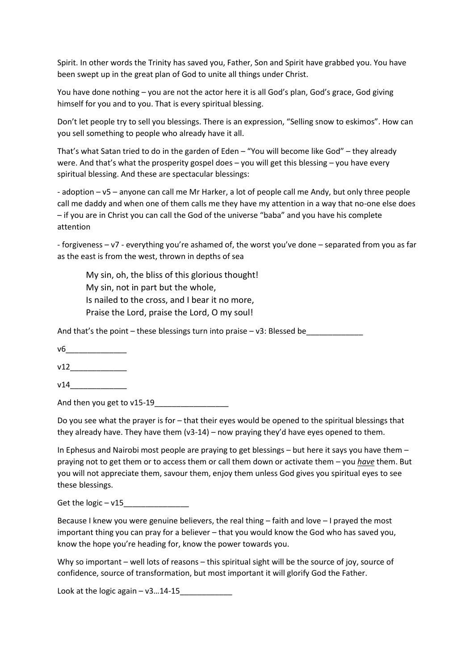Spirit. In other words the Trinity has saved you, Father, Son and Spirit have grabbed you. You have been swept up in the great plan of God to unite all things under Christ.

You have done nothing – you are not the actor here it is all God's plan, God's grace, God giving himself for you and to you. That is every spiritual blessing.

Don't let people try to sell you blessings. There is an expression, "Selling snow to eskimos". How can you sell something to people who already have it all.

That's what Satan tried to do in the garden of Eden – "You will become like God" – they already were. And that's what the prosperity gospel does – you will get this blessing – you have every spiritual blessing. And these are spectacular blessings:

- adoption – v5 – anyone can call me Mr Harker, a lot of people call me Andy, but only three people call me daddy and when one of them calls me they have my attention in a way that no-one else does – if you are in Christ you can call the God of the universe "baba" and you have his complete attention

- forgiveness – v7 - everything you're ashamed of, the worst you've done – separated from you as far as the east is from the west, thrown in depths of sea

My sin, oh, the bliss of this glorious thought! My sin, not in part but the whole, Is nailed to the cross, and I bear it no more, Praise the Lord, praise the Lord, O my soul!

And that's the point – these blessings turn into praise –  $v3$ : Blessed be

v6\_\_\_\_\_\_\_\_\_\_\_\_\_\_

 $v12$ 

v14 $\qquad$ 

And then you get to v15-19

Do you see what the prayer is for – that their eyes would be opened to the spiritual blessings that they already have. They have them (v3-14) – now praying they'd have eyes opened to them.

In Ephesus and Nairobi most people are praying to get blessings – but here it says you have them – praying not to get them or to access them or call them down or activate them – you *have* them. But you will not appreciate them, savour them, enjoy them unless God gives you spiritual eyes to see these blessings.

Get the logic  $- v15$ 

Because I knew you were genuine believers, the real thing – faith and love – I prayed the most important thing you can pray for a believer – that you would know the God who has saved you, know the hope you're heading for, know the power towards you.

Why so important – well lots of reasons – this spiritual sight will be the source of joy, source of confidence, source of transformation, but most important it will glorify God the Father.

Look at the logic again  $-$  v3 $...$ 14-15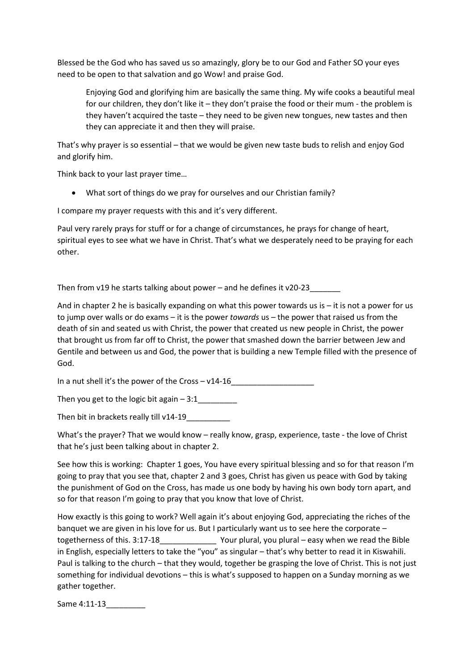Blessed be the God who has saved us so amazingly, glory be to our God and Father SO your eyes need to be open to that salvation and go Wow! and praise God.

Enjoying God and glorifying him are basically the same thing. My wife cooks a beautiful meal for our children, they don't like it – they don't praise the food or their mum - the problem is they haven't acquired the taste – they need to be given new tongues, new tastes and then they can appreciate it and then they will praise.

That's why prayer is so essential – that we would be given new taste buds to relish and enjoy God and glorify him.

Think back to your last prayer time…

What sort of things do we pray for ourselves and our Christian family?

I compare my prayer requests with this and it's very different.

Paul very rarely prays for stuff or for a change of circumstances, he prays for change of heart, spiritual eyes to see what we have in Christ. That's what we desperately need to be praying for each other.

Then from v19 he starts talking about power – and he defines it v20-23

And in chapter 2 he is basically expanding on what this power towards us is – it is not a power for us to jump over walls or do exams – it is the power *towards* us – the power that raised us from the death of sin and seated us with Christ, the power that created us new people in Christ, the power that brought us from far off to Christ, the power that smashed down the barrier between Jew and Gentile and between us and God, the power that is building a new Temple filled with the presence of God.

In a nut shell it's the power of the Cross - v14-16

Then you get to the logic bit again  $-3:1$ 

Then bit in brackets really till v14-19\_\_\_\_\_\_\_\_\_\_

What's the prayer? That we would know – really know, grasp, experience, taste - the love of Christ that he's just been talking about in chapter 2.

See how this is working: Chapter 1 goes, You have every spiritual blessing and so for that reason I'm going to pray that you see that, chapter 2 and 3 goes, Christ has given us peace with God by taking the punishment of God on the Cross, has made us one body by having his own body torn apart, and so for that reason I'm going to pray that you know that love of Christ.

How exactly is this going to work? Well again it's about enjoying God, appreciating the riches of the banquet we are given in his love for us. But I particularly want us to see here the corporate – togetherness of this. 3:17-18\_\_\_\_\_\_\_\_\_\_\_\_\_ Your plural, you plural – easy when we read the Bible in English, especially letters to take the "you" as singular – that's why better to read it in Kiswahili. Paul is talking to the church – that they would, together be grasping the love of Christ. This is not just something for individual devotions – this is what's supposed to happen on a Sunday morning as we gather together.

Same 4:11-13\_\_\_\_\_\_\_\_\_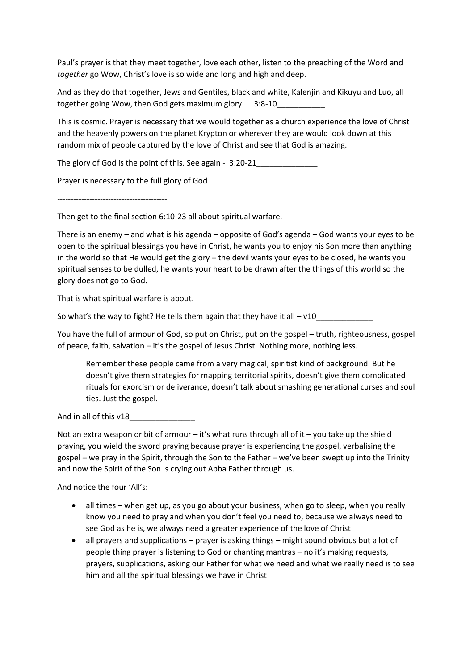Paul's prayer is that they meet together, love each other, listen to the preaching of the Word and *together* go Wow, Christ's love is so wide and long and high and deep.

And as they do that together, Jews and Gentiles, black and white, Kalenjin and Kikuyu and Luo, all together going Wow, then God gets maximum glory. 3:8-10

This is cosmic. Prayer is necessary that we would together as a church experience the love of Christ and the heavenly powers on the planet Krypton or wherever they are would look down at this random mix of people captured by the love of Christ and see that God is amazing.

The glory of God is the point of this. See again - 3:20-21

Prayer is necessary to the full glory of God

-----------------------------------------

Then get to the final section 6:10-23 all about spiritual warfare.

There is an enemy – and what is his agenda – opposite of God's agenda – God wants your eyes to be open to the spiritual blessings you have in Christ, he wants you to enjoy his Son more than anything in the world so that He would get the glory – the devil wants your eyes to be closed, he wants you spiritual senses to be dulled, he wants your heart to be drawn after the things of this world so the glory does not go to God.

That is what spiritual warfare is about.

So what's the way to fight? He tells them again that they have it all – v10\_\_\_\_\_\_\_\_\_\_\_\_\_

You have the full of armour of God, so put on Christ, put on the gospel – truth, righteousness, gospel of peace, faith, salvation – it's the gospel of Jesus Christ. Nothing more, nothing less.

Remember these people came from a very magical, spiritist kind of background. But he doesn't give them strategies for mapping territorial spirits, doesn't give them complicated rituals for exorcism or deliverance, doesn't talk about smashing generational curses and soul ties. Just the gospel.

And in all of this v18

Not an extra weapon or bit of armour – it's what runs through all of it – you take up the shield praying, you wield the sword praying because prayer is experiencing the gospel, verbalising the gospel – we pray in the Spirit, through the Son to the Father – we've been swept up into the Trinity and now the Spirit of the Son is crying out Abba Father through us.

And notice the four 'All's:

- all times when get up, as you go about your business, when go to sleep, when you really know you need to pray and when you don't feel you need to, because we always need to see God as he is, we always need a greater experience of the love of Christ
- all prayers and supplications prayer is asking things might sound obvious but a lot of people thing prayer is listening to God or chanting mantras – no it's making requests, prayers, supplications, asking our Father for what we need and what we really need is to see him and all the spiritual blessings we have in Christ